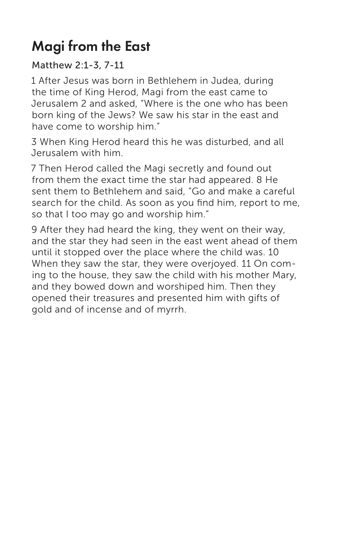## Magi from the East

## Matthew 2:1-3, 7-11

1 After Jesus was born in Bethlehem in Judea, during the time of King Herod, Magi from the east came to Jerusalem 2 and asked, "Where is the one who has been born king of the Jews? We saw his star in the east and have come to worship him."

3 When King Herod heard this he was disturbed, and all Jerusalem with him.

7 Then Herod called the Magi secretly and found out from them the exact time the star had appeared. 8 He sent them to Bethlehem and said, "Go and make a careful search for the child. As soon as you find him, report to me, so that I too may go and worship him."

9 After they had heard the king, they went on their way, and the star they had seen in the east went ahead of them until it stopped over the place where the child was. 10 When they saw the star, they were overjoyed. 11 On coming to the house, they saw the child with his mother Mary, and they bowed down and worshiped him. Then they opened their treasures and presented him with gifts of gold and of incense and of myrrh.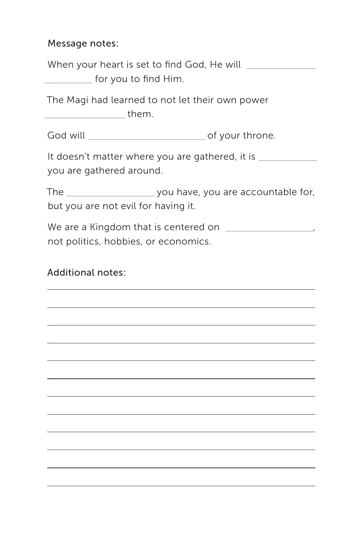Message notes:

Additional notes: When your heart is set to find God, He will \_\_\_\_\_\_\_\_\_\_\_\_\_ for you to find Him. The Magi had learned to not let their own power \_\_\_\_\_\_\_\_\_\_\_\_\_\_\_\_\_\_\_\_\_\_ them. God will \_\_\_\_\_\_\_\_\_\_\_\_\_\_\_\_\_\_\_\_\_\_\_\_\_\_\_\_\_\_\_\_ of your throne. It doesn't matter where you are gathered, it is you are gathered around. The \_\_\_\_\_\_\_\_\_\_\_\_\_\_\_\_\_\_\_\_\_\_\_\_ you have, you are accountable for, but you are not evil for having it. We are a Kingdom that is centered on **William** not politics, hobbies, or economics.